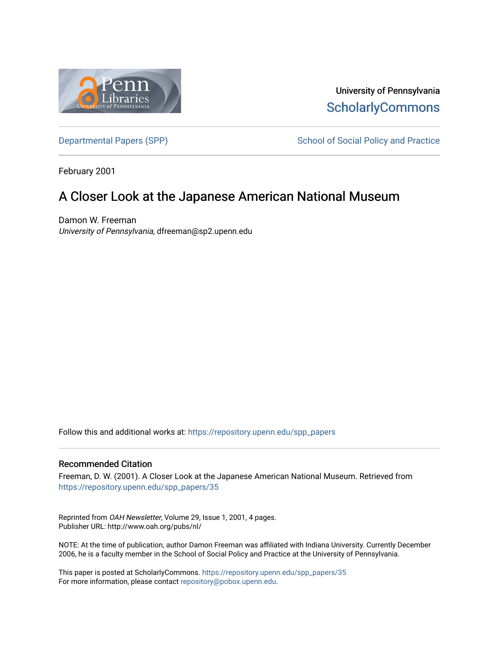

University of Pennsylvania **ScholarlyCommons** 

[Departmental Papers \(SPP\)](https://repository.upenn.edu/spp_papers) School of Social Policy and Practice

February 2001

# A Closer Look at the Japanese American National Museum

Damon W. Freeman University of Pennsylvania, dfreeman@sp2.upenn.edu

Follow this and additional works at: [https://repository.upenn.edu/spp\\_papers](https://repository.upenn.edu/spp_papers?utm_source=repository.upenn.edu%2Fspp_papers%2F35&utm_medium=PDF&utm_campaign=PDFCoverPages) 

#### Recommended Citation

Freeman, D. W. (2001). A Closer Look at the Japanese American National Museum. Retrieved from [https://repository.upenn.edu/spp\\_papers/35](https://repository.upenn.edu/spp_papers/35?utm_source=repository.upenn.edu%2Fspp_papers%2F35&utm_medium=PDF&utm_campaign=PDFCoverPages)

Reprinted from OAH Newsletter, Volume 29, Issue 1, 2001, 4 pages. Publisher URL: http://www.oah.org/pubs/nl/

NOTE: At the time of publication, author Damon Freeman was affiliated with Indiana University. Currently December 2006, he is a faculty member in the School of Social Policy and Practice at the University of Pennsylvania.

This paper is posted at ScholarlyCommons. [https://repository.upenn.edu/spp\\_papers/35](https://repository.upenn.edu/spp_papers/35)  For more information, please contact [repository@pobox.upenn.edu.](mailto:repository@pobox.upenn.edu)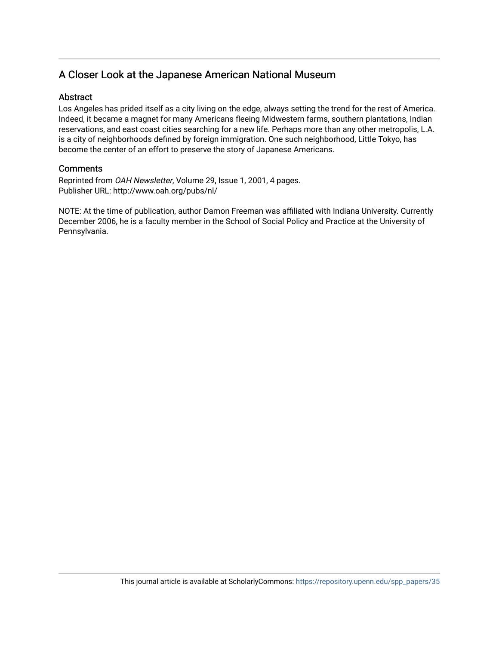## A Closer Look at the Japanese American National Museum

#### **Abstract**

Los Angeles has prided itself as a city living on the edge, always setting the trend for the rest of America. Indeed, it became a magnet for many Americans fleeing Midwestern farms, southern plantations, Indian reservations, and east coast cities searching for a new life. Perhaps more than any other metropolis, L.A. is a city of neighborhoods defined by foreign immigration. One such neighborhood, Little Tokyo, has become the center of an effort to preserve the story of Japanese Americans.

### **Comments**

Reprinted from OAH Newsletter, Volume 29, Issue 1, 2001, 4 pages. Publisher URL: http://www.oah.org/pubs/nl/

NOTE: At the time of publication, author Damon Freeman was affiliated with Indiana University. Currently December 2006, he is a faculty member in the School of Social Policy and Practice at the University of Pennsylvania.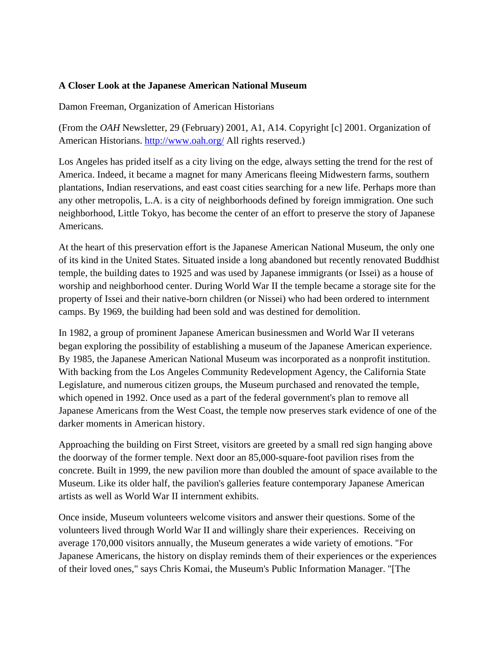### **A Closer Look at the Japanese American National Museum**

Damon Freeman, Organization of American Historians

(From the *OAH* Newsletter, 29 (February) 2001, A1, A14. Copyright [c] 2001. Organization of American Historians. <http://www.oah.org/>All rights reserved.)

Los Angeles has prided itself as a city living on the edge, always setting the trend for the rest of America. Indeed, it became a magnet for many Americans fleeing Midwestern farms, southern plantations, Indian reservations, and east coast cities searching for a new life. Perhaps more than any other metropolis, L.A. is a city of neighborhoods defined by foreign immigration. One such neighborhood, Little Tokyo, has become the center of an effort to preserve the story of Japanese Americans.

At the heart of this preservation effort is the Japanese American National Museum, the only one of its kind in the United States. Situated inside a long abandoned but recently renovated Buddhist temple, the building dates to 1925 and was used by Japanese immigrants (or Issei) as a house of worship and neighborhood center. During World War II the temple became a storage site for the property of Issei and their native-born children (or Nissei) who had been ordered to internment camps. By 1969, the building had been sold and was destined for demolition.

In 1982, a group of prominent Japanese American businessmen and World War II veterans began exploring the possibility of establishing a museum of the Japanese American experience. By 1985, the Japanese American National Museum was incorporated as a nonprofit institution. With backing from the Los Angeles Community Redevelopment Agency, the California State Legislature, and numerous citizen groups, the Museum purchased and renovated the temple, which opened in 1992. Once used as a part of the federal government's plan to remove all Japanese Americans from the West Coast, the temple now preserves stark evidence of one of the darker moments in American history.

Approaching the building on First Street, visitors are greeted by a small red sign hanging above the doorway of the former temple. Next door an 85,000-square-foot pavilion rises from the concrete. Built in 1999, the new pavilion more than doubled the amount of space available to the Museum. Like its older half, the pavilion's galleries feature contemporary Japanese American artists as well as World War II internment exhibits.

Once inside, Museum volunteers welcome visitors and answer their questions. Some of the volunteers lived through World War II and willingly share their experiences. Receiving on average 170,000 visitors annually, the Museum generates a wide variety of emotions. "For Japanese Americans, the history on display reminds them of their experiences or the experiences of their loved ones," says Chris Komai, the Museum's Public Information Manager. "[The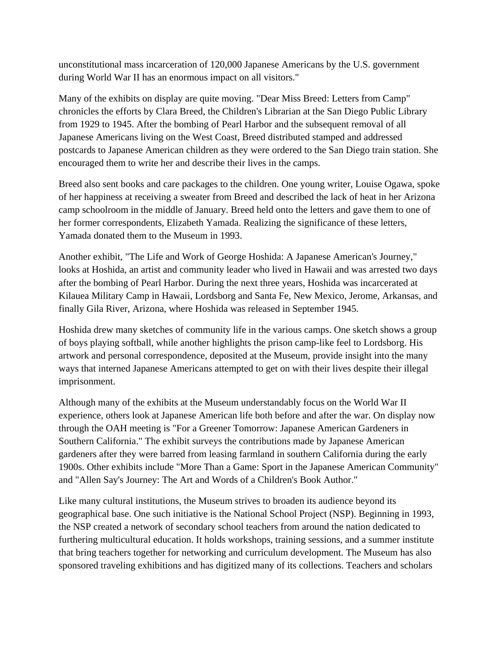unconstitutional mass incarceration of 120,000 Japanese Americans by the U.S. government during World War II has an enormous impact on all visitors."

Many of the exhibits on display are quite moving. "Dear Miss Breed: Letters from Camp" chronicles the efforts by Clara Breed, the Children's Librarian at the San Diego Public Library from 1929 to 1945. After the bombing of Pearl Harbor and the subsequent removal of all Japanese Americans living on the West Coast, Breed distributed stamped and addressed postcards to Japanese American children as they were ordered to the San Diego train station. She encouraged them to write her and describe their lives in the camps.

Breed also sent books and care packages to the children. One young writer, Louise Ogawa, spoke of her happiness at receiving a sweater from Breed and described the lack of heat in her Arizona camp schoolroom in the middle of January. Breed held onto the letters and gave them to one of her former correspondents, Elizabeth Yamada. Realizing the significance of these letters, Yamada donated them to the Museum in 1993.

Another exhibit, "The Life and Work of George Hoshida: A Japanese American's Journey," looks at Hoshida, an artist and community leader who lived in Hawaii and was arrested two days after the bombing of Pearl Harbor. During the next three years, Hoshida was incarcerated at Kilauea Military Camp in Hawaii, Lordsborg and Santa Fe, New Mexico, Jerome, Arkansas, and finally Gila River, Arizona, where Hoshida was released in September 1945.

Hoshida drew many sketches of community life in the various camps. One sketch shows a group of boys playing softball, while another highlights the prison camp-like feel to Lordsborg. His artwork and personal correspondence, deposited at the Museum, provide insight into the many ways that interned Japanese Americans attempted to get on with their lives despite their illegal imprisonment.

Although many of the exhibits at the Museum understandably focus on the World War II experience, others look at Japanese American life both before and after the war. On display now through the OAH meeting is "For a Greener Tomorrow: Japanese American Gardeners in Southern California." The exhibit surveys the contributions made by Japanese American gardeners after they were barred from leasing farmland in southern California during the early 1900s. Other exhibits include "More Than a Game: Sport in the Japanese American Community" and "Allen Say's Journey: The Art and Words of a Children's Book Author."

Like many cultural institutions, the Museum strives to broaden its audience beyond its geographical base. One such initiative is the National School Project (NSP). Beginning in 1993, the NSP created a network of secondary school teachers from around the nation dedicated to furthering multicultural education. It holds workshops, training sessions, and a summer institute that bring teachers together for networking and curriculum development. The Museum has also sponsored traveling exhibitions and has digitized many of its collections. Teachers and scholars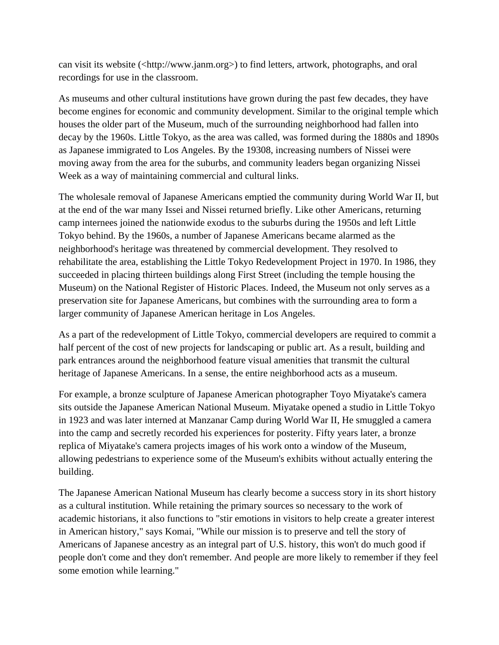can visit its website (<http://www.janm.org>) to find letters, artwork, photographs, and oral recordings for use in the classroom.

As museums and other cultural institutions have grown during the past few decades, they have become engines for economic and community development. Similar to the original temple which houses the older part of the Museum, much of the surrounding neighborhood had fallen into decay by the 1960s. Little Tokyo, as the area was called, was formed during the 1880s and 1890s as Japanese immigrated to Los Angeles. By the 19308, increasing numbers of Nissei were moving away from the area for the suburbs, and community leaders began organizing Nissei Week as a way of maintaining commercial and cultural links.

The wholesale removal of Japanese Americans emptied the community during World War II, but at the end of the war many Issei and Nissei returned briefly. Like other Americans, returning camp internees joined the nationwide exodus to the suburbs during the 1950s and left Little Tokyo behind. By the 1960s, a number of Japanese Americans became alarmed as the neighborhood's heritage was threatened by commercial development. They resolved to rehabilitate the area, establishing the Little Tokyo Redevelopment Project in 1970. In 1986, they succeeded in placing thirteen buildings along First Street (including the temple housing the Museum) on the National Register of Historic Places. Indeed, the Museum not only serves as a preservation site for Japanese Americans, but combines with the surrounding area to form a larger community of Japanese American heritage in Los Angeles.

As a part of the redevelopment of Little Tokyo, commercial developers are required to commit a half percent of the cost of new projects for landscaping or public art. As a result, building and park entrances around the neighborhood feature visual amenities that transmit the cultural heritage of Japanese Americans. In a sense, the entire neighborhood acts as a museum.

For example, a bronze sculpture of Japanese American photographer Toyo Miyatake's camera sits outside the Japanese American National Museum. Miyatake opened a studio in Little Tokyo in 1923 and was later interned at Manzanar Camp during World War II, He smuggled a camera into the camp and secretly recorded his experiences for posterity. Fifty years later, a bronze replica of Miyatake's camera projects images of his work onto a window of the Museum, allowing pedestrians to experience some of the Museum's exhibits without actually entering the building.

The Japanese American National Museum has clearly become a success story in its short history as a cultural institution. While retaining the primary sources so necessary to the work of academic historians, it also functions to "stir emotions in visitors to help create a greater interest in American history," says Komai, "While our mission is to preserve and tell the story of Americans of Japanese ancestry as an integral part of U.S. history, this won't do much good if people don't come and they don't remember. And people are more likely to remember if they feel some emotion while learning."